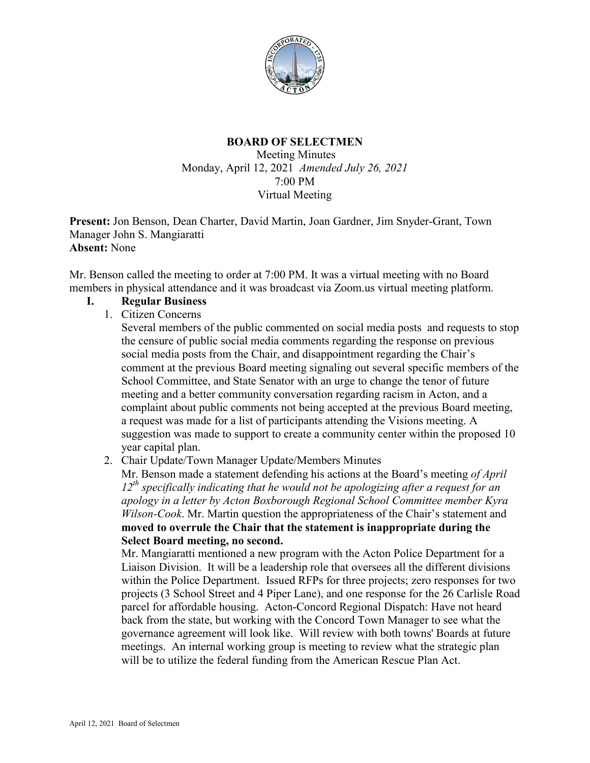

### **BOARD OF SELECTMEN**

Meeting Minutes Monday, April 12, 2021 *Amended July 26, 2021* 7:00 PM Virtual Meeting

**Present:** Jon Benson, Dean Charter, David Martin, Joan Gardner, Jim Snyder-Grant, Town Manager John S. Mangiaratti **Absent:** None

Mr. Benson called the meeting to order at 7:00 PM. It was a virtual meeting with no Board members in physical attendance and it was broadcast via Zoom.us virtual meeting platform.

- **I. Regular Business**
	- 1. Citizen Concerns

Several members of the public commented on social media posts and requests to stop the censure of public social media comments regarding the response on previous social media posts from the Chair, and disappointment regarding the Chair's comment at the previous Board meeting signaling out several specific members of the School Committee, and State Senator with an urge to change the tenor of future meeting and a better community conversation regarding racism in Acton, and a complaint about public comments not being accepted at the previous Board meeting, a request was made for a list of participants attending the Visions meeting. A suggestion was made to support to create a community center within the proposed 10 year capital plan.

2. Chair Update/Town Manager Update/Members Minutes

Mr. Benson made a statement defending his actions at the Board's meeting *of April 12th specifically indicating that he would not be apologizing after a request for an apology in a letter by Acton Boxborough Regional School Committee member Kyra Wilson-Cook*. Mr. Martin question the appropriateness of the Chair's statement and **moved to overrule the Chair that the statement is inappropriate during the Select Board meeting, no second.**

Mr. Mangiaratti mentioned a new program with the Acton Police Department for a Liaison Division. It will be a leadership role that oversees all the different divisions within the Police Department. Issued RFPs for three projects; zero responses for two projects (3 School Street and 4 Piper Lane), and one response for the 26 Carlisle Road parcel for affordable housing. Acton-Concord Regional Dispatch: Have not heard back from the state, but working with the Concord Town Manager to see what the governance agreement will look like. Will review with both towns' Boards at future meetings. An internal working group is meeting to review what the strategic plan will be to utilize the federal funding from the American Rescue Plan Act.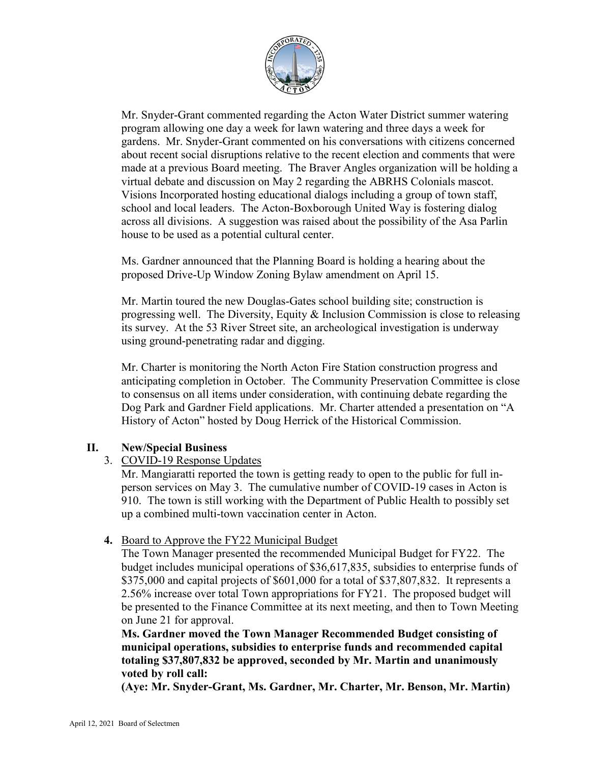

Mr. Snyder-Grant commented regarding the Acton Water District summer watering program allowing one day a week for lawn watering and three days a week for gardens. Mr. Snyder-Grant commented on his conversations with citizens concerned about recent social disruptions relative to the recent election and comments that were made at a previous Board meeting. The Braver Angles organization will be holding a virtual debate and discussion on May 2 regarding the ABRHS Colonials mascot. Visions Incorporated hosting educational dialogs including a group of town staff, school and local leaders. The Acton-Boxborough United Way is fostering dialog across all divisions. A suggestion was raised about the possibility of the Asa Parlin house to be used as a potential cultural center.

Ms. Gardner announced that the Planning Board is holding a hearing about the proposed Drive-Up Window Zoning Bylaw amendment on April 15.

Mr. Martin toured the new Douglas-Gates school building site; construction is progressing well. The Diversity, Equity & Inclusion Commission is close to releasing its survey. At the 53 River Street site, an archeological investigation is underway using ground-penetrating radar and digging.

Mr. Charter is monitoring the North Acton Fire Station construction progress and anticipating completion in October. The Community Preservation Committee is close to consensus on all items under consideration, with continuing debate regarding the Dog Park and Gardner Field applications. Mr. Charter attended a presentation on "A History of Acton" hosted by Doug Herrick of the Historical Commission.

## **II. New/Special Business**

## 3. COVID-19 Response Updates

Mr. Mangiaratti reported the town is getting ready to open to the public for full inperson services on May 3. The cumulative number of COVID-19 cases in Acton is 910. The town is still working with the Department of Public Health to possibly set up a combined multi-town vaccination center in Acton.

# **4.** Board to Approve the FY22 Municipal Budget

The Town Manager presented the recommended Municipal Budget for FY22. The budget includes municipal operations of \$36,617,835, subsidies to enterprise funds of \$375,000 and capital projects of \$601,000 for a total of \$37,807,832. It represents a 2.56% increase over total Town appropriations for FY21. The proposed budget will be presented to the Finance Committee at its next meeting, and then to Town Meeting on June 21 for approval.

**Ms. Gardner moved the Town Manager Recommended Budget consisting of municipal operations, subsidies to enterprise funds and recommended capital totaling \$37,807,832 be approved, seconded by Mr. Martin and unanimously voted by roll call:**

**(Aye: Mr. Snyder-Grant, Ms. Gardner, Mr. Charter, Mr. Benson, Mr. Martin)**